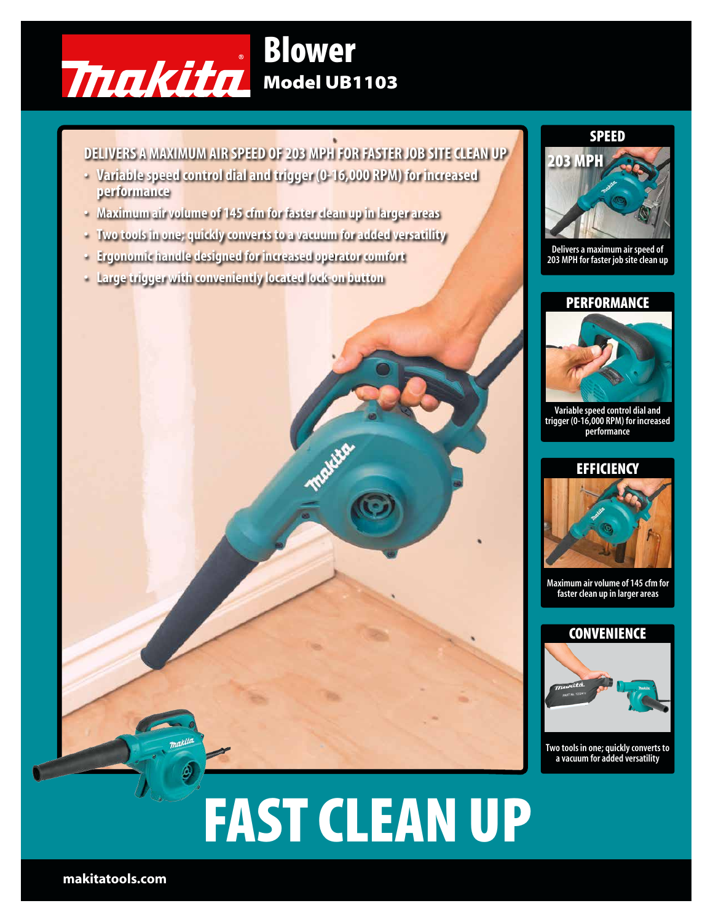

## DELIVERS A MAXIMUM AIR SPEED OF 203 MPH FOR FASTER JOB SITE CLEAN UP

- Variable speed control dial and trigger (0-16,000 RPM) for increased performance
- Maximum air volume of 145 cfm for faster clean up in larger areas
- Two tools in one; quickly converts to a vacuum for added versatility
- Ergonomic handle designed for increased operator comfort
- Large trigger with conveniently located lock-on button



Delivers a maximum air speed of 203 MPH for faster job site clean up

## **PERFORMANCE**



Variable speed control dial and trigger (0-16,000 RPM) for increased performance



Maximum air volume of 145 cfm for faster clean up in larger areas



Two tools in one; quickly converts to a vacuum for added versatility

# FAST CLEAN UP

makitatools.com